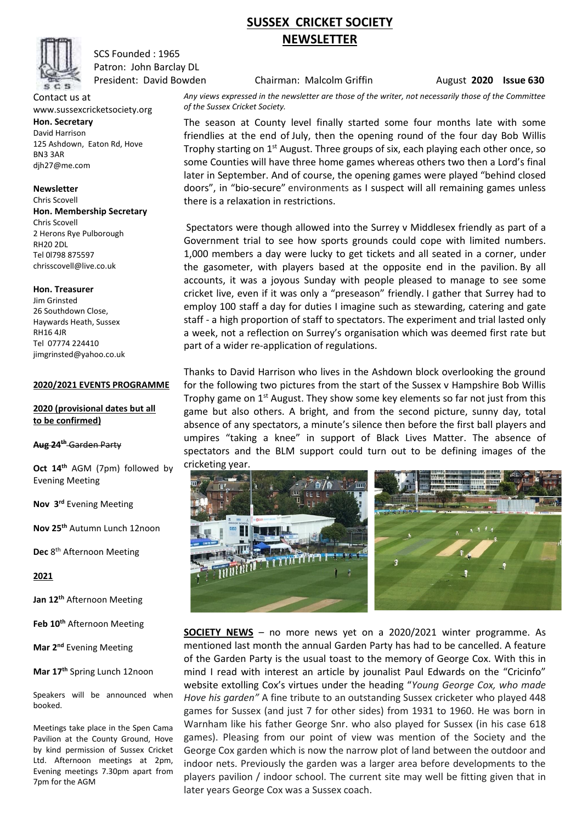

SCS Founded : 1965 Patron: John Barclay DL

Contact us at www.sussexcricketsociety.org **Hon. Secretary** David Harrison 125 Ashdown, Eaton Rd, Hove BN3 3AR djh27@me.com

**Newsletter**  Chris Scovell **Hon. Membership Secretary** Chris Scovell 2 Herons Rye Pulborough RH20 2DL Tel 0l798 875597 chrisscovell@live.co.uk

**Hon. Treasurer**

Jim Grinsted 26 Southdown Close, Haywards Heath, Sussex RH16 4JR Tel 07774 224410 jimgrinsted@yahoo.co.uk

### **2020/2021 EVENTS PROGRAMME**

## **2020 (provisional dates but all to be confirmed)**

#### **Aug 24th** Garden Party

**Oct 14th** AGM (7pm) followed by Evening Meeting

**Nov 3 rd** Evening Meeting

**Nov 25th** Autumn Lunch 12noon

**Dec** 8 th Afternoon Meeting

**2021**

**Jan 12 th** Afternoon Meeting

**Feb 10th** Afternoon Meeting

**Mar 2 nd** Evening Meeting

**Mar 17th** Spring Lunch 12noon

Speakers will be announced when booked.

Meetings take place in the Spen Cama Pavilion at the County Ground, Hove by kind permission of Sussex Cricket Ltd. Afternoon meetings at 2pm, Evening meetings 7.30pm apart from 7pm for the AGM

# **SUSSEX CRICKET SOCIETY NEWSLETTER**

President: David Bowden **Chairman: Malcolm Griffin** August **2020 Issue 630** 

*Any views expressed in the newsletter are those of the writer, not necessarily those of the Committee of the Sussex Cricket Society.*

The season at County level finally started some four months late with some friendlies at the end of July, then the opening round of the four day Bob Willis Trophy starting on 1<sup>st</sup> August. Three groups of six, each playing each other once, so some Counties will have three home games whereas others two then a Lord's final later in September. And of course, the opening games were played "behind closed doors", in "bio-secure" environments as I suspect will all remaining games unless there is a relaxation in restrictions.

Spectators were though allowed into the Surrey v Middlesex friendly as part of a Government trial to see how sports grounds could cope with limited numbers. 1,000 members a day were lucky to get tickets and all seated in a corner, under the gasometer, with players based at the opposite end in the pavilion. By all accounts, it was a joyous Sunday with people pleased to manage to see some cricket live, even if it was only a "preseason" friendly. I gather that Surrey had to employ 100 staff a day for duties I imagine such as stewarding, catering and gate staff - a high proportion of staff to spectators. The experiment and trial lasted only a week, not a reflection on Surrey's organisation which was deemed first rate but part of a wider re-application of regulations.

Thanks to David Harrison who lives in the Ashdown block overlooking the ground for the following two pictures from the start of the Sussex v Hampshire Bob Willis Trophy game on  $1^{st}$  August. They show some key elements so far not just from this game but also others. A bright, and from the second picture, sunny day, total absence of any spectators, a minute's silence then before the first ball players and umpires "taking a knee" in support of Black Lives Matter. The absence of spectators and the BLM support could turn out to be defining images of the cricketing year.



**SOCIETY NEWS** – no more news yet on a 2020/2021 winter programme. As mentioned last month the annual Garden Party has had to be cancelled. A feature of the Garden Party is the usual toast to the memory of George Cox. With this in mind I read with interest an article by jounalist Paul Edwards on the "Cricinfo" website extolling Cox's virtues under the heading "*Young George Cox, who made Hove his garden"* A fine tribute to an outstanding Sussex cricketer who played 448 games for Sussex (and just 7 for other sides) from 1931 to 1960. He was born in Warnham like his father George Snr. who also played for Sussex (in his case 618 games). Pleasing from our point of view was mention of the Society and the George Cox garden which is now the narrow plot of land between the outdoor and indoor nets. Previously the garden was a larger area before developments to the players pavilion / indoor school. The current site may well be fitting given that in later years George Cox was a Sussex coach.